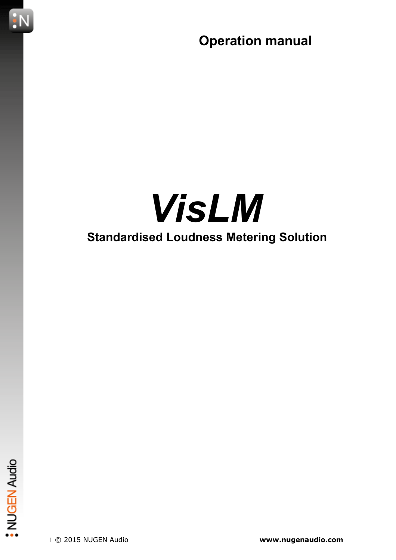

# *VisLM* **Standardised Loudness Metering Solution**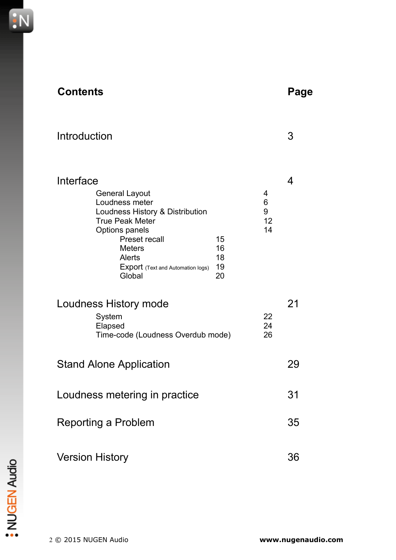

| Introduction                                                                                                                                                                                                                                                      |                         | З  |
|-------------------------------------------------------------------------------------------------------------------------------------------------------------------------------------------------------------------------------------------------------------------|-------------------------|----|
| Interface<br><b>General Layout</b><br>Loudness meter<br>Loudness History & Distribution<br><b>True Peak Meter</b><br><b>Options panels</b><br><b>Preset recall</b><br>15<br><b>Meters</b><br>16<br>Alerts<br>18<br>19<br><b>Export</b> (Text and Automation logs) | 4<br>6<br>9<br>12<br>14 | 4  |
| Global<br>20<br>Loudness History mode<br>System<br>Elapsed<br>Time-code (Loudness Overdub mode)                                                                                                                                                                   | 22<br>24<br>26          | 21 |
| <b>Stand Alone Application</b>                                                                                                                                                                                                                                    |                         | 29 |
| Loudness metering in practice                                                                                                                                                                                                                                     |                         | 31 |
| <b>Reporting a Problem</b>                                                                                                                                                                                                                                        |                         | 35 |
| <b>Version History</b>                                                                                                                                                                                                                                            |                         | 36 |

**Contents Page**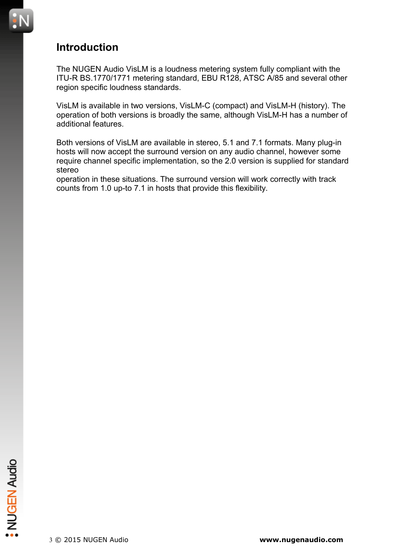

#### **Introduction**

The NUGEN Audio VisLM is a loudness metering system fully compliant with the ITU-R BS.1770/1771 metering standard, EBU R128, ATSC A/85 and several other region specific loudness standards.

VisLM is available in two versions, VisLM-C (compact) and VisLM-H (history). The operation of both versions is broadly the same, although VisLM-H has a number of additional features.

Both versions of VisLM are available in stereo, 5.1 and 7.1 formats. Many plug-in hosts will now accept the surround version on any audio channel, however some require channel specific implementation, so the 2.0 version is supplied for standard stereo

operation in these situations. The surround version will work correctly with track counts from 1.0 up-to 7.1 in hosts that provide this flexibility.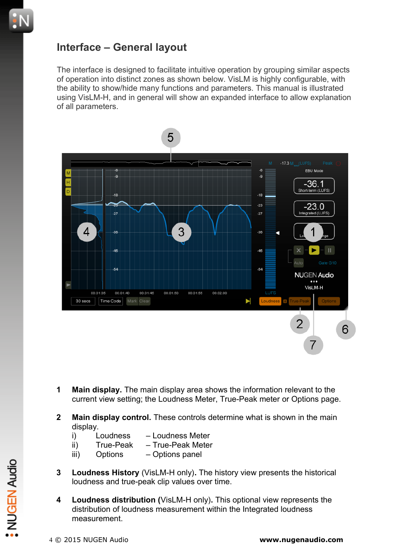#### **Interface – General layout**

The interface is designed to facilitate intuitive operation by grouping similar aspects of operation into distinct zones as shown below. VisLM is highly configurable, with the ability to show/hide many functions and parameters. This manual is illustrated using VisLM-H, and in general will show an expanded interface to allow explanation of all parameters.



- **1 Main display.** The main display area shows the information relevant to the current view setting; the Loudness Meter, True-Peak meter or Options page.
- **2 Main display control.** These controls determine what is shown in the main display.
	- i) Loudness Loudness Meter
	- ii) True-Peak True-Peak Meter
	- iii) Options Options panel
- **3 Loudness History** (VisLM-H only)**.** The history view presents the historical loudness and true-peak clip values over time.
- **4 Loudness distribution (**VisLM-H only)**.** This optional view represents the distribution of loudness measurement within the Integrated loudness measurement. 4 **Loudness History** (VisLM-H only). The history view presents the historical<br>loudness and true-peak clip values over time.<br>4 **Loudness distribution** (VisLM-H only). This optional view represents the<br>distribution of loudn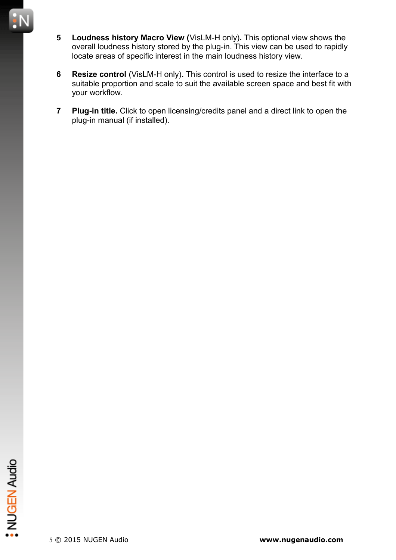- **5 Loudness history Macro View (**VisLM-H only)**.** This optional view shows the overall loudness history stored by the plug-in. This view can be used to rapidly locate areas of specific interest in the main loudness history view.
- **6 Resize control** (VisLM-H only)**.** This control is used to resize the interface to a suitable proportion and scale to suit the available screen space and best fit with your workflow.
- **7 Plug-in title.** Click to open licensing/credits panel and a direct link to open the plug-in manual (if installed).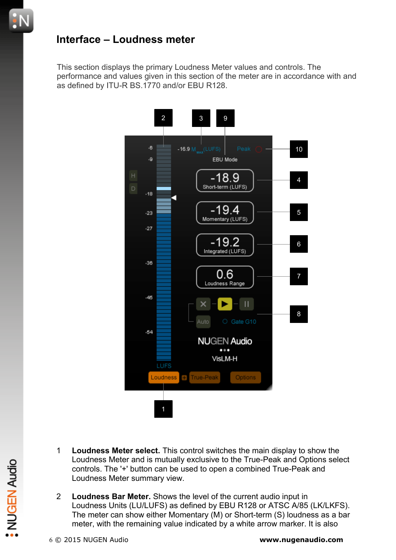#### **Interface – Loudness meter**

This section displays the primary Loudness Meter values and controls. The performance and values given in this section of the meter are in accordance with and as defined by ITU-R BS.1770 and/or EBU R128.



- 1 **Loudness Meter select.** This control switches the main display to show the Loudness Meter and is mutually exclusive to the True-Peak and Options select controls. The '+' button can be used to open a combined True-Peak and Loudness Meter summary view.
- 2 **Loudness Bar Meter.** Shows the level of the current audio input in Loudness Units (LU/LUFS) as defined by EBU R128 or ATSC A/85 (LK/LKFS). The meter can show either Momentary (M) or Short-term (S) loudness as a bar meter, with the remaining value indicated by a white arrow marker. It is also Loudness weter and is mutually exclusive to the True-Peak and Options selection<br>controls. The '+' button can be used to open a combined True-Peak and<br>Loudness Meter summary view.<br>2 **Loudness Bar Meter.** Shows the level of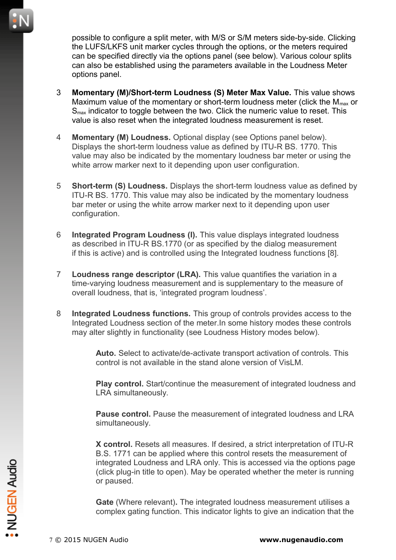possible to configure a split meter, with M/S or S/M meters side-by-side. Clicking the LUFS/LKFS unit marker cycles through the options, or the meters required can be specified directly via the options panel (see below). Various colour splits can also be established using the parameters available in the Loudness Meter options panel.

- 3 **Momentary (M)/Short-term Loudness (S) Meter Max Value.** This value shows Maximum value of the momentary or short-term loudness meter (click the  $M_{\text{max}}$  or  $S<sub>max</sub>$  indicator to toggle between the two. Click the numeric value to reset. This value is also reset when the integrated loudness measurement is reset.
- 4 **Momentary (M) Loudness.** Optional display (see Options panel below). Displays the short-term loudness value as defined by ITU-R BS. 1770. This value may also be indicated by the momentary loudness bar meter or using the white arrow marker next to it depending upon user configuration.
- 5 **Short-term (S) Loudness.** Displays the short-term loudness value as defined by ITU-R BS. 1770. This value may also be indicated by the momentary loudness bar meter or using the white arrow marker next to it depending upon user configuration.
- 6 **Integrated Program Loudness (I).** This value displays integrated loudness as described in ITU-R BS.1770 (or as specified by the dialog measurement if this is active) and is controlled using the Integrated loudness functions [8].
- 7 **Loudness range descriptor (LRA).** This value quantifies the variation in a time-varying loudness measurement and is supplementary to the measure of overall loudness, that is, 'integrated program loudness'.
- 8 **Integrated Loudness functions.** This group of controls provides access to the Integrated Loudness section of the meter.In some history modes these controls may alter slightly in functionality (see Loudness History modes below).

**Auto.** Select to activate/de-activate transport activation of controls. This control is not available in the stand alone version of VisLM.

**Play control.** Start/continue the measurement of integrated loudness and LRA simultaneously.

**Pause control.** Pause the measurement of integrated loudness and LRA simultaneously.

**X control.** Resets all measures. If desired, a strict interpretation of ITU-R B.S. 1771 can be applied where this control resets the measurement of integrated Loudness and LRA only. This is accessed via the options page (click plug-in title to open). May be operated whether the meter is running or paused. The integrated Loudness and LRA only. This is accessed via the options particle in the total open). May be operated whether the meter is runnior paused.<br> **Gate** (Where relevant). The integrated loudness measurement utilis

**Gate** (Where relevant)**.** The integrated loudness measurement utilises a complex gating function. This indicator lights to give an indication that the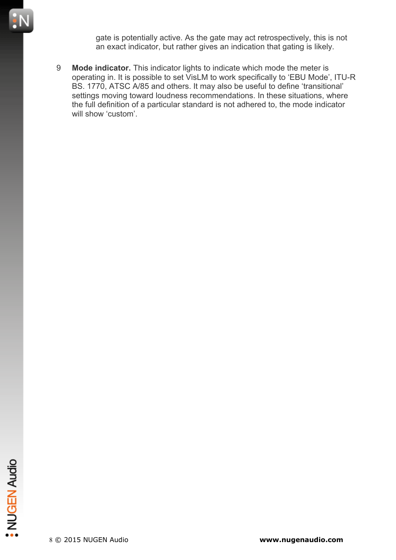

gate is potentially active. As the gate may act retrospectively, this is not an exact indicator, but rather gives an indication that gating is likely.

9 **Mode indicator.** This indicator lights to indicate which mode the meter is operating in. It is possible to set VisLM to work specifically to 'EBU Mode', ITU-R BS. 1770, ATSC A/85 and others. It may also be useful to define 'transitional' settings moving toward loudness recommendations. In these situations, where the full definition of a particular standard is not adhered to, the mode indicator will show 'custom'.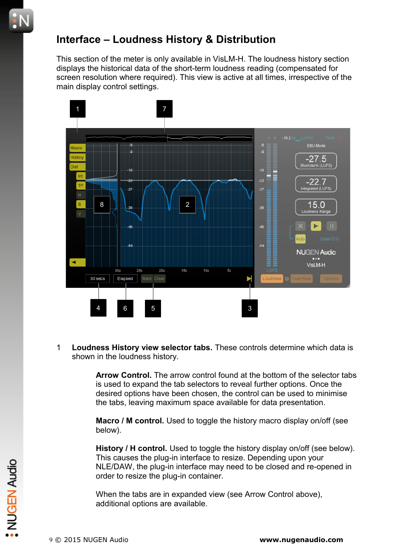#### **Interface – Loudness History & Distribution**

This section of the meter is only available in VisLM-H. The loudness history section displays the historical data of the short-term loudness reading (compensated for screen resolution where required). This view is active at all times, irrespective of the main display control settings.



1 **Loudness History view selector tabs.** These controls determine which data is shown in the loudness history.

> **Arrow Control.** The arrow control found at the bottom of the selector tabs is used to expand the tab selectors to reveal further options. Once the desired options have been chosen, the control can be used to minimise the tabs, leaving maximum space available for data presentation.

**Macro / M control.** Used to toggle the history macro display on/off (see below).

**History / H control.** Used to toggle the history display on/off (see below). This causes the plug-in interface to resize. Depending upon your NLE/DAW, the plug-in interface may need to be closed and re-opened in order to resize the plug-in container. 9 © 2015 NUGEN Audio<br>
NET Auto Science the plug-in interface may need to be closed and re-opened<br>
order to resize the plug-in container.<br>
When the tabs are in expanded view (see Arrow Control above),<br>
additional options a

When the tabs are in expanded view (see Arrow Control above), additional options are available.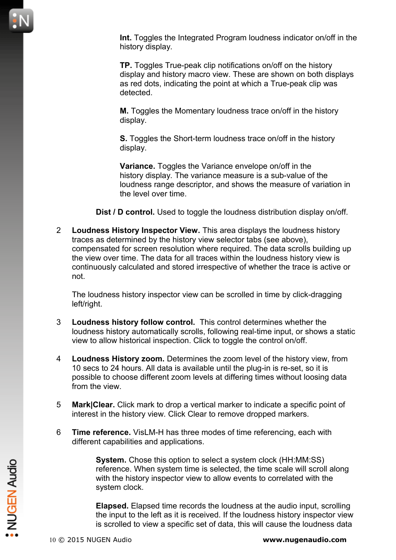**Int.** Toggles the Integrated Program loudness indicator on/off in the history display.

**TP.** Toggles True-peak clip notifications on/off on the history display and history macro view. These are shown on both displays as red dots, indicating the point at which a True-peak clip was detected.

**M.** Toggles the Momentary loudness trace on/off in the history display.

**S.** Toggles the Short-term loudness trace on/off in the history display.

**Variance.** Toggles the Variance envelope on/off in the history display. The variance measure is a sub-value of the loudness range descriptor, and shows the measure of variation in the level over time.

**Dist / D control.** Used to toggle the loudness distribution display on/off.

2 **Loudness History Inspector View.** This area displays the loudness history traces as determined by the history view selector tabs (see above), compensated for screen resolution where required. The data scrolls building up the view over time. The data for all traces within the loudness history view is continuously calculated and stored irrespective of whether the trace is active or not.

The loudness history inspector view can be scrolled in time by click-dragging left/right.

- 3 **Loudness history follow control.** This control determines whether the loudness history automatically scrolls, following real-time input, or shows a static view to allow historical inspection. Click to toggle the control on/off.
- 4 **Loudness History zoom.** Determines the zoom level of the history view, from 10 secs to 24 hours. All data is available until the plug-in is re-set, so it is possible to choose different zoom levels at differing times without loosing data from the view.
- 5 **Mark|Clear.** Click mark to drop a vertical marker to indicate a specific point of interest in the history view. Click Clear to remove dropped markers.
- 6 **Time reference.** VisLM-H has three modes of time referencing, each with different capabilities and applications.

**System.** Chose this option to select a system clock (HH:MM:SS) reference. When system time is selected, the time scale will scroll along with the history inspector view to allow events to correlated with the system clock. System. Chose this option to select a system clock (HH:MM:SS)<br>reference. When system time is selected, the time scale will scroll along<br>with the history inspector view to allow events to correlated with the<br>system clock.<br>

**Elapsed.** Elapsed time records the loudness at the audio input, scrolling the input to the left as it is received. If the loudness history inspector view is scrolled to view a specific set of data, this will cause the loudness data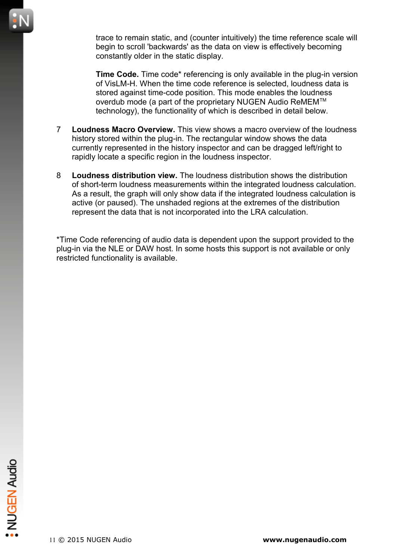trace to remain static, and (counter intuitively) the time reference scale will begin to scroll 'backwards' as the data on view is effectively becoming constantly older in the static display.

**Time Code.** Time code\* referencing is only available in the plug-in version of VisLM-H. When the time code reference is selected, loudness data is stored against time-code position. This mode enables the loudness overdub mode (a part of the proprietary NUGEN Audio ReMEM™ technology), the functionality of which is described in detail below.

- 7 **Loudness Macro Overview.** This view shows a macro overview of the loudness history stored within the plug-in. The rectangular window shows the data currently represented in the history inspector and can be dragged left/right to rapidly locate a specific region in the loudness inspector.
- 8 **Loudness distribution view.** The loudness distribution shows the distribution of short-term loudness measurements within the integrated loudness calculation. As a result, the graph will only show data if the integrated loudness calculation is active (or paused). The unshaded regions at the extremes of the distribution represent the data that is not incorporated into the LRA calculation.

\*Time Code referencing of audio data is dependent upon the support provided to the plug-in via the NLE or DAW host. In some hosts this support is not available or only restricted functionality is available.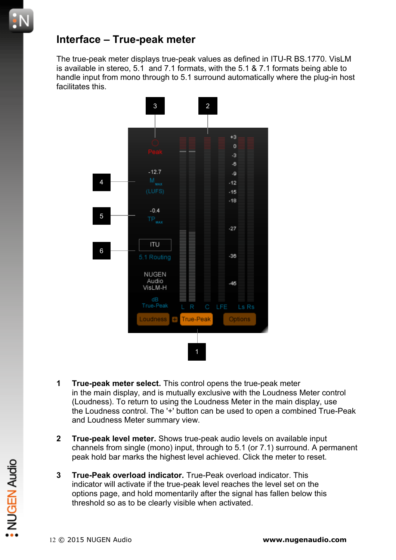#### **Interface – True-peak meter**

The true-peak meter displays true-peak values as defined in ITU-R BS.1770. VisLM is available in stereo, 5.1 and 7.1 formats, with the 5.1 & 7.1 formats being able to handle input from mono through to 5.1 surround automatically where the plug-in host facilitates this.



- **1 True-peak meter select.** This control opens the true-peak meter in the main display, and is mutually exclusive with the Loudness Meter control (Loudness). To return to using the Loudness Meter in the main display, use the Loudness control. The '+' button can be used to open a combined True-Peak and Loudness Meter summary view.
- **2 True-peak level meter.** Shows true-peak audio levels on available input channels from single (mono) input, through to 5.1 (or 7.1) surround. A permanent peak hold bar marks the highest level achieved. Click the meter to reset.
- **3 True-Peak overload indicator.** True-Peak overload indicator. This indicator will activate if the true-peak level reaches the level set on the options page, and hold momentarily after the signal has fallen below this threshold so as to be clearly visible when activated. 12 © 2015 NUGEN Audio<br>
22 O 2015 NUGEN Audio<br>
22 O 2015 NUGEN Audio<br>
22 O 2015 Audio<br>
22 O 2015 Audio<br>
22 O 2015 Audio<br>
22 O 2015 Audio<br>
22 O 2015 Audio<br>
22 O 2015 Audio<br>
22 O 2015 Audio<br>
22 O 2015 Audio<br>
22 O 2015 Audio<br>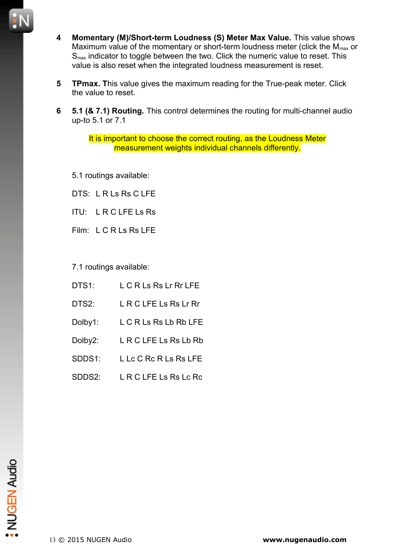

- **5 TPmax. T**his value gives the maximum reading for the True-peak meter. Click the value to reset.
- **6 5.1 (& 7.1) Routing.** This control determines the routing for multi-channel audio up-to 5.1 or 7.1

It is important to choose the correct routing, as the Loudness Meter measurement weights individual channels differently.

5.1 routings available:

DTS: L R Ls Rs C LFE

ITU: L R C LFE Ls Rs

Film: L C R Ls Rs LFE

7.1 routings available:

- DTS1: L C R Ls Rs Lr Rr LFE DTS2: L R C LFE Ls Rs Lr Rr Dolby1: L C R Ls Rs Lb Rb LFE Dolby2: L R C LFE Ls Rs Lb Rb
- SDDS1: L Lc C Rc R Ls Rs LFE
- SDDS2: L R C LFF Ls Rs Lc Rc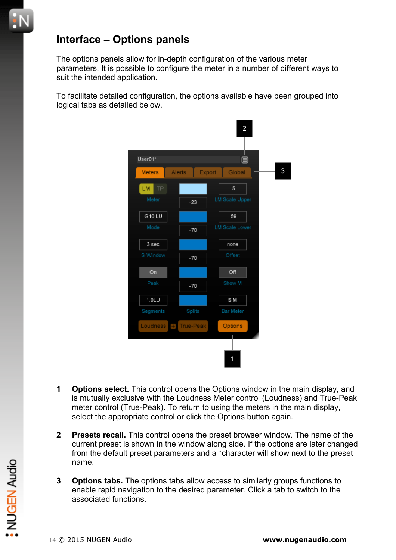#### **Interface – Options panels**

The options panels allow for in-depth configuration of the various meter parameters. It is possible to configure the meter in a number of different ways to suit the intended application.

To facilitate detailed configuration, the options available have been grouped into logical tabs as detailed below.



- **1 Options select.** This control opens the Options window in the main display, and is mutually exclusive with the Loudness Meter control (Loudness) and True-Peak meter control (True-Peak). To return to using the meters in the main display, select the appropriate control or click the Options button again.
- **2 Presets recall.** This control opens the preset browser window. The name of the current preset is shown in the window along side. If the options are later changed from the default preset parameters and a \*character will show next to the preset name.
- **3 Options tabs.** The options tabs allow access to similarly groups functions to enable rapid navigation to the desired parameter. Click a tab to switch to the associated functions. Fractional manne.<br>
2014<br>
2015 **Options tabs.** The options tabs allow access to similarly groups functions to<br>
enable rapid navigation to the desired parameter. Click a tab to switch to the<br>
associated functions.<br>
2015 NUG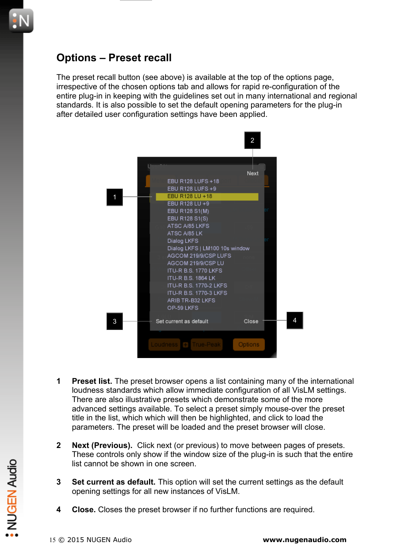## **Options – Preset recall**

The preset recall button (see above) is available at the top of the options page, irrespective of the chosen options tab and allows for rapid re-configuration of the entire plug-in in keeping with the guidelines set out in many international and regional standards. It is also possible to set the default opening parameters for the plug-in after detailed user configuration settings have been applied.



- **1 Preset list.** The preset browser opens a list containing many of the international loudness standards which allow immediate configuration of all VisLM settings. There are also illustrative presets which demonstrate some of the more advanced settings available. To select a preset simply mouse-over the preset title in the list, which which will then be highlighted, and click to load the parameters. The preset will be loaded and the preset browser will close.
- **2 Next (Previous).** Click next (or previous) to move between pages of presets. These controls only show if the window size of the plug-in is such that the entire list cannot be shown in one screen.
- **3 Set current as default.** This option will set the current settings as the default opening settings for all new instances of VisLM. 15 Unit cannot be shown in one screen.<br>
15 O 2015 NUGEN Audio<br>
15 O 2015 NUGEN Audio<br>
2015 NUGEN Audio<br>
2015 NUGEN Audio<br>
2015 NuGEN Audio<br>
2015 NuGEN Audio<br>
2015 NuGEN Audio<br>
2015 NuGEN Audio<br>
2015 NuGEN Audio<br>
2015 NuGE
	- **4 Close.** Closes the preset browser if no further functions are required.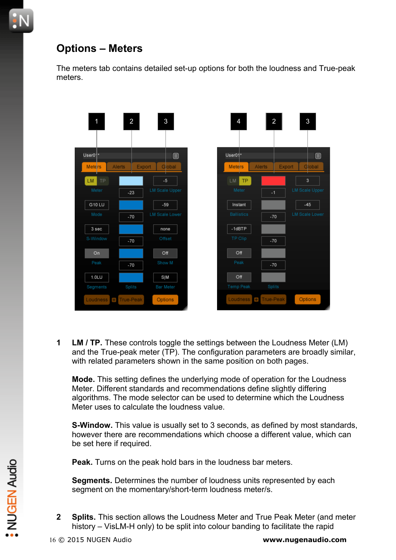# **Options – Meters**

The meters tab contains detailed set-up options for both the loudness and True-peak meters.



**1 LM / TP.** These controls toggle the settings between the Loudness Meter (LM) and the True-peak meter (TP). The configuration parameters are broadly similar, with related parameters shown in the same position on both pages.

**Mode.** This setting defines the underlying mode of operation for the Loudness Meter. Different standards and recommendations define slightly differing algorithms. The mode selector can be used to determine which the Loudness Meter uses to calculate the loudness value.

**S-Window.** This value is usually set to 3 seconds, as defined by most standards, however there are recommendations which choose a different value, which can be set here if required.

**Peak.** Turns on the peak hold bars in the loudness bar meters.

**Segments.** Determines the number of loudness units represented by each segment on the momentary/short-term loudness meter/s.

**2 Splits.** This section allows the Loudness Meter and True Peak Meter (and meter history – VisLM-H only) to be split into colour banding to facilitate the rapid Peak. Turns on the peak hold bars in the loudness bar meters.<br>
Segments. Determines the number of loudness units represented by each<br>
segment on the momentary/short-term loudness meter/s.<br>
2 Splits. This section allows th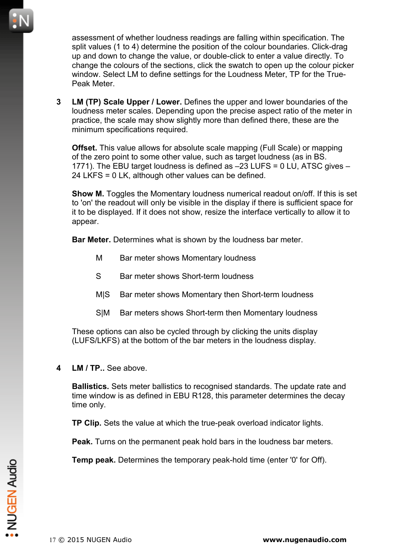assessment of whether loudness readings are falling within specification. The split values (1 to 4) determine the position of the colour boundaries. Click-drag up and down to change the value, or double-click to enter a value directly. To change the colours of the sections, click the swatch to open up the colour picker window. Select LM to define settings for the Loudness Meter, TP for the True-Peak Meter.

**3 LM (TP) Scale Upper / Lower.** Defines the upper and lower boundaries of the loudness meter scales. Depending upon the precise aspect ratio of the meter in practice, the scale may show slightly more than defined there, these are the minimum specifications required.

**Offset.** This value allows for absolute scale mapping (Full Scale) or mapping of the zero point to some other value, such as target loudness (as in BS. 1771). The EBU target loudness is defined as –23 LUFS = 0 LU, ATSC gives – 24 LKFS = 0 LK, although other values can be defined.

**Show M.** Toggles the Momentary loudness numerical readout on/off. If this is set to 'on' the readout will only be visible in the display if there is sufficient space for it to be displayed. If it does not show, resize the interface vertically to allow it to appear.

**Bar Meter.** Determines what is shown by the loudness bar meter.

- M Bar meter shows Momentary loudness
- S Bar meter shows Short-term loudness
- MIS Bar meter shows Momentary then Short-term loudness
- S|M Bar meters shows Short-term then Momentary loudness

These options can also be cycled through by clicking the units display (LUFS/LKFS) at the bottom of the bar meters in the loudness display.

**4 LM / TP..** See above.

**Ballistics.** Sets meter ballistics to recognised standards. The update rate and time window is as defined in EBU R128, this parameter determines the decay time only.

**TP Clip.** Sets the value at which the true-peak overload indicator lights.

**Peak.** Turns on the permanent peak hold bars in the loudness bar meters.

**Temp peak.** Determines the temporary peak-hold time (enter '0' for Off). 1**emp peak.** Determines the temporary peak-hold time (enter '0' for Off).<br>
<br> **17 © 2015 NUGEN Audio**<br>
17 © 2015 NUGEN Audio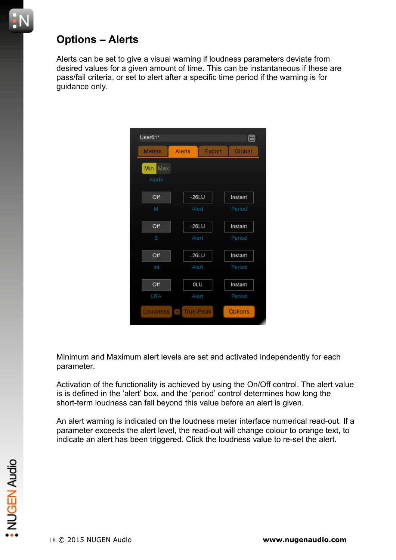## **Options – Alerts**

Alerts can be set to give a visual warning if loudness parameters deviate from desired values for a given amount of time. This can be instantaneous if these are pass/fail criteria, or set to alert after a specific time period if the warning is for guidance only.



Minimum and Maximum alert levels are set and activated independently for each parameter.

Activation of the functionality is achieved by using the On/Off control. The alert value is is defined in the 'alert' box, and the 'period' control determines how long the short-term loudness can fall beyond this value before an alert is given.

An alert warning is indicated on the loudness meter interface numerical read-out. If a parameter exceeds the alert level, the read-out will change colour to orange text, to indicate an alert has been triggered. Click the loudness value to re-set the alert.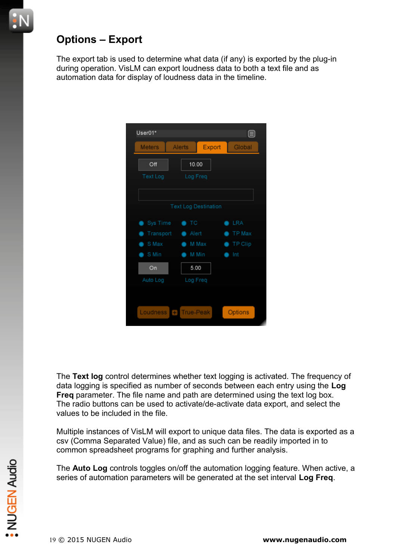## **Options – Export**

The export tab is used to determine what data (if any) is exported by the plug-in during operation. VisLM can export loudness data to both a text file and as automation data for display of loudness data in the timeline.

| User01*               |                                   |          | 目          |
|-----------------------|-----------------------------------|----------|------------|
| <b>Meters</b>         | Alerts                            | Export   | Global     |
| Off                   |                                   | 10.00    |            |
| <b>Text Log</b>       |                                   | Log Freq |            |
|                       |                                   |          |            |
|                       | <b>Text Log Destination</b>       |          |            |
|                       |                                   |          |            |
| Sys Time<br>$\bullet$ | $\bullet$ TC                      |          | <b>LRA</b> |
| Transport             | Alert<br>$\bullet$                |          | TP Max     |
| S Max                 | $\blacksquare$                    | M Max    | TP Clip    |
| S Min                 | œ                                 | M Min    | Int        |
| On                    | 5.00                              |          |            |
| Auto Log              |                                   | Log Freq |            |
|                       |                                   |          |            |
|                       |                                   |          |            |
| Loudness              | <b>True-Peak</b><br>$\rightarrow$ |          | Options    |

The **Text log** control determines whether text logging is activated. The frequency of data logging is specified as number of seconds between each entry using the **Log Freq** parameter. The file name and path are determined using the text log box. The radio buttons can be used to activate/de-activate data export, and select the values to be included in the file.

Multiple instances of VisLM will export to unique data files. The data is exported as a csv (Comma Separated Value) file, and as such can be readily imported in to common spreadsheet programs for graphing and further analysis.

The **Auto Log** controls toggles on/off the automation logging feature. When active, a series of automation parameters will be generated at the set interval **Log Freq**. 19 © 2015 NUGEN Audio **[www.nugenaudio.com](http://www.nugenaudio.com/)**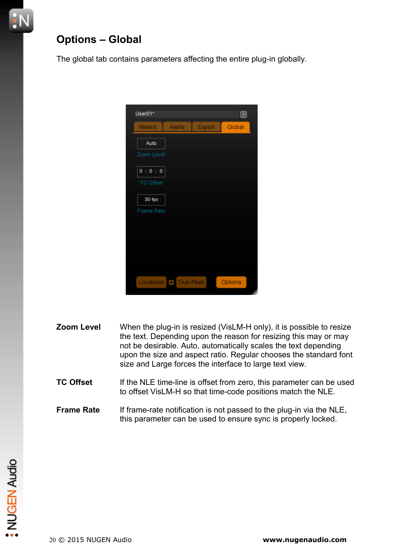## **Options – Global**

The global tab contains parameters affecting the entire plug-in globally.

| User01*                   |                    |        | ⊟       |
|---------------------------|--------------------|--------|---------|
| <b>Meters</b>             | Alerts             | Export | Global  |
| Auto                      |                    |        |         |
| Zoom Level                |                    |        |         |
| 0:0:0<br><b>TC Offset</b> |                    |        |         |
| 30 fps                    |                    |        |         |
| <b>Frame Rate</b>         |                    |        |         |
|                           |                    |        |         |
|                           |                    |        |         |
|                           |                    |        |         |
|                           |                    |        |         |
| Loudness                  | <b>+ True-Peak</b> |        | Options |

- **Zoom Level** When the plug-in is resized (VisLM-H only), it is possible to resize the text. Depending upon the reason for resizing this may or may not be desirable. Auto, automatically scales the text depending upon the size and aspect ratio. Regular chooses the standard font size and Large forces the interface to large text view.
- **TC Offset** If the NLE time-line is offset from zero, this parameter can be used to offset VisLM-H so that time-code positions match the NLE.
- **Frame Rate** If frame-rate notification is not passed to the plug-in via the NLE, this parameter can be used to ensure sync is properly locked.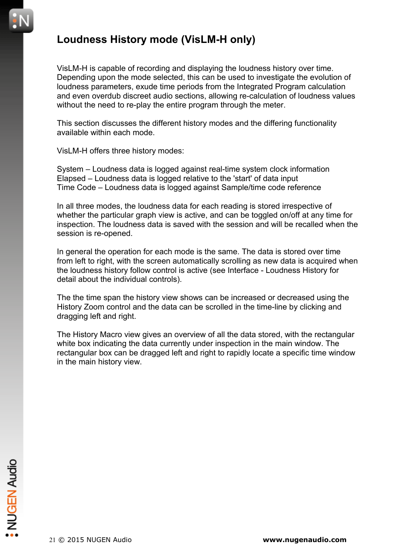#### **Loudness History mode (VisLM-H only)**

VisLM-H is capable of recording and displaying the loudness history over time. Depending upon the mode selected, this can be used to investigate the evolution of loudness parameters, exude time periods from the Integrated Program calculation and even overdub discreet audio sections, allowing re-calculation of loudness values without the need to re-play the entire program through the meter.

This section discusses the different history modes and the differing functionality available within each mode.

VisLM-H offers three history modes:

System – Loudness data is logged against real-time system clock information Elapsed – Loudness data is logged relative to the 'start' of data input Time Code – Loudness data is logged against Sample/time code reference

In all three modes, the loudness data for each reading is stored irrespective of whether the particular graph view is active, and can be toggled on/off at any time for inspection. The loudness data is saved with the session and will be recalled when the session is re-opened.

In general the operation for each mode is the same. The data is stored over time from left to right, with the screen automatically scrolling as new data is acquired when the loudness history follow control is active (see Interface - Loudness History for detail about the individual controls).

The the time span the history view shows can be increased or decreased using the History Zoom control and the data can be scrolled in the time-line by clicking and dragging left and right.

The History Macro view gives an overview of all the data stored, with the rectangular white box indicating the data currently under inspection in the main window. The rectangular box can be dragged left and right to rapidly locate a specific time window in the main history view.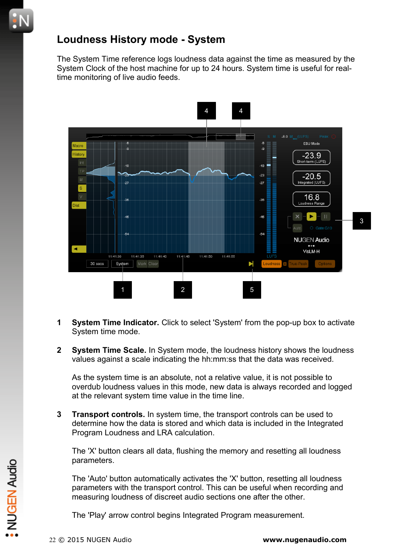#### **Loudness History mode - System**

The System Time reference logs loudness data against the time as measured by the System Clock of the host machine for up to 24 hours. System time is useful for realtime monitoring of live audio feeds.



- **1 System Time Indicator.** Click to select 'System' from the pop-up box to activate System time mode.
- **2 System Time Scale.** In System mode, the loudness history shows the loudness values against a scale indicating the hh:mm:ss that the data was received.

As the system time is an absolute, not a relative value, it is not possible to overdub loudness values in this mode, new data is always recorded and logged at the relevant system time value in the time line.

**3 Transport controls.** In system time, the transport controls can be used to determine how the data is stored and which data is included in the Integrated Program Loudness and LRA calculation.

The 'X' button clears all data, flushing the memory and resetting all loudness parameters.

The 'Auto' button automatically activates the 'X' button, resetting all loudness parameters with the transport control. This can be useful when recording and measuring loudness of discreet audio sections one after the other. Perfaminenters.<br>
The 'Auto' button automatically activates the 'X' button, resetting all loudness<br>
parameters with the transport control. This can be useful when recording and<br>
measuring loudness of discreet audio sections

The 'Play' arrow control begins Integrated Program measurement.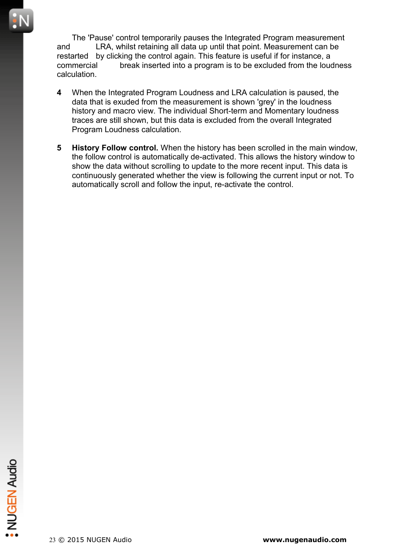The 'Pause' control temporarily pauses the Integrated Program measurement and LRA, whilst retaining all data up until that point. Measurement can be restarted by clicking the control again. This feature is useful if for instance, a commercial break inserted into a program is to be excluded from the loudness calculation.

- **4** When the Integrated Program Loudness and LRA calculation is paused, the data that is exuded from the measurement is shown 'grey' in the loudness history and macro view. The individual Short-term and Momentary loudness traces are still shown, but this data is excluded from the overall Integrated Program Loudness calculation.
- **5 History Follow control.** When the history has been scrolled in the main window, the follow control is automatically de-activated. This allows the history window to show the data without scrolling to update to the more recent input. This data is continuously generated whether the view is following the current input or not. To automatically scroll and follow the input, re-activate the control.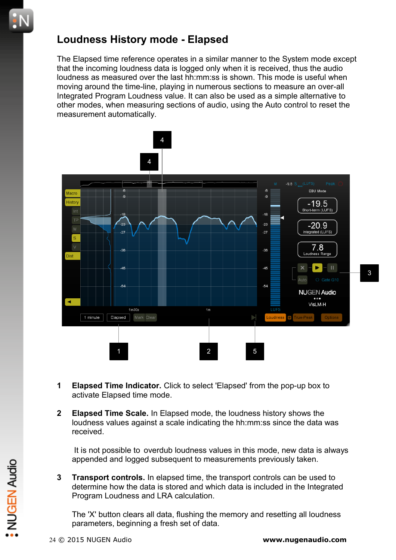#### **Loudness History mode - Elapsed**

The Elapsed time reference operates in a similar manner to the System mode except that the incoming loudness data is logged only when it is received, thus the audio loudness as measured over the last hh:mm:ss is shown. This mode is useful when moving around the time-line, playing in numerous sections to measure an over-all Integrated Program Loudness value. It can also be used as a simple alternative to other modes, when measuring sections of audio, using the Auto control to reset the measurement automatically.



- **1 Elapsed Time Indicator.** Click to select 'Elapsed' from the pop-up box to activate Elapsed time mode.
- **2 Elapsed Time Scale.** In Elapsed mode, the loudness history shows the loudness values against a scale indicating the hh:mm:ss since the data was received.

 It is not possible to overdub loudness values in this mode, new data is always appended and logged subsequent to measurements previously taken.

**3 Transport controls.** In elapsed time, the transport controls can be used to determine how the data is stored and which data is included in the Integrated Program Loudness and LRA calculation. External of the transport controls and upged subsequent to measurements previously taken.<br>
3 **Transport controls**. In elapsed time, the transport controls can be used to<br>
determine how the data is stored and which data is

The 'X' button clears all data, flushing the memory and resetting all loudness parameters, beginning a fresh set of data.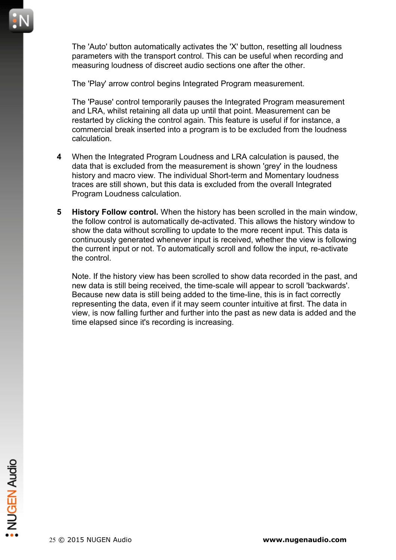

The 'Auto' button automatically activates the 'X' button, resetting all loudness parameters with the transport control. This can be useful when recording and measuring loudness of discreet audio sections one after the other.

The 'Play' arrow control begins Integrated Program measurement.

The 'Pause' control temporarily pauses the Integrated Program measurement and LRA, whilst retaining all data up until that point. Measurement can be restarted by clicking the control again. This feature is useful if for instance, a commercial break inserted into a program is to be excluded from the loudness calculation.

- **4** When the Integrated Program Loudness and LRA calculation is paused, the data that is excluded from the measurement is shown 'grey' in the loudness history and macro view. The individual Short-term and Momentary loudness traces are still shown, but this data is excluded from the overall Integrated Program Loudness calculation.
- **5 History Follow control.** When the history has been scrolled in the main window, the follow control is automatically de-activated. This allows the history window to show the data without scrolling to update to the more recent input. This data is continuously generated whenever input is received, whether the view is following the current input or not. To automatically scroll and follow the input, re-activate the control.

Note. If the history view has been scrolled to show data recorded in the past, and new data is still being received, the time-scale will appear to scroll 'backwards'. Because new data is still being added to the time-line, this is in fact correctly representing the data, even if it may seem counter intuitive at first. The data in view, is now falling further and further into the past as new data is added and the time elapsed since it's recording is increasing.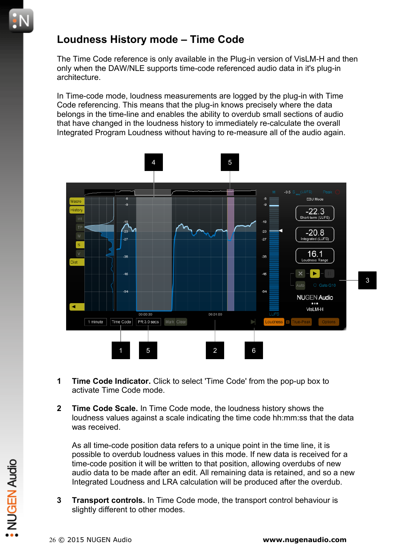## **Loudness History mode – Time Code**

The Time Code reference is only available in the Plug-in version of VisLM-H and then only when the DAW/NLE supports time-code referenced audio data in it's plug-in architecture.

In Time-code mode, loudness measurements are logged by the plug-in with Time Code referencing. This means that the plug-in knows precisely where the data belongs in the time-line and enables the ability to overdub small sections of audio that have changed in the loudness history to immediately re-calculate the overall Integrated Program Loudness without having to re-measure all of the audio again.



- **1 Time Code Indicator.** Click to select 'Time Code' from the pop-up box to activate Time Code mode.
- **2 Time Code Scale.** In Time Code mode, the loudness history shows the loudness values against a scale indicating the time code hh:mm:ss that the data was received.

As all time-code position data refers to a unique point in the time line, it is possible to overdub loudness values in this mode. If new data is received for a time-code position it will be written to that position, allowing overdubs of new audio data to be made after an edit. All remaining data is retained, and so a new Integrated Loudness and LRA calculation will be produced after the overdub. Example time-code position it will be written to that position, allowing overdubs of new<br>audio data to be made after an edit. All remaining data is retained, and so a ne<br>Integrated Loudness and LRA calculation will be pro

**3 Transport controls.** In Time Code mode, the transport control behaviour is slightly different to other modes.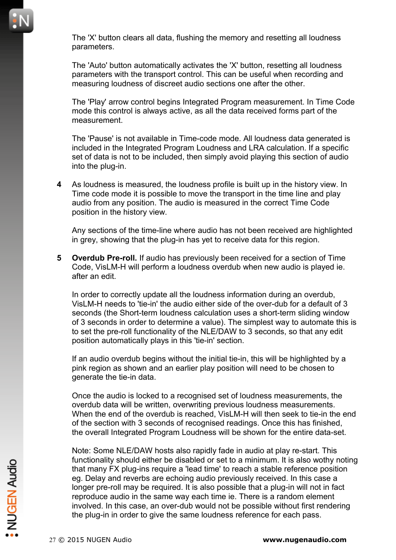The 'X' button clears all data, flushing the memory and resetting all loudness parameters.

The 'Auto' button automatically activates the 'X' button, resetting all loudness parameters with the transport control. This can be useful when recording and measuring loudness of discreet audio sections one after the other.

The 'Play' arrow control begins Integrated Program measurement. In Time Code mode this control is always active, as all the data received forms part of the measurement.

The 'Pause' is not available in Time-code mode. All loudness data generated is included in the Integrated Program Loudness and LRA calculation. If a specific set of data is not to be included, then simply avoid playing this section of audio into the plug-in.

**4** As loudness is measured, the loudness profile is built up in the history view. In Time code mode it is possible to move the transport in the time line and play audio from any position. The audio is measured in the correct Time Code position in the history view.

Any sections of the time-line where audio has not been received are highlighted in grey, showing that the plug-in has yet to receive data for this region.

**5 Overdub Pre-roll.** If audio has previously been received for a section of Time Code, VisLM-H will perform a loudness overdub when new audio is played ie. after an edit.

In order to correctly update all the loudness information during an overdub, VisLM-H needs to 'tie-in' the audio either side of the over-dub for a default of 3 seconds (the Short-term loudness calculation uses a short-term sliding window of 3 seconds in order to determine a value). The simplest way to automate this is to set the pre-roll functionality of the NLE/DAW to 3 seconds, so that any edit position automatically plays in this 'tie-in' section.

If an audio overdub begins without the initial tie-in, this will be highlighted by a pink region as shown and an earlier play position will need to be chosen to generate the tie-in data.

Once the audio is locked to a recognised set of loudness measurements, the overdub data will be written, overwriting previous loudness measurements. When the end of the overdub is reached, VisLM-H will then seek to tie-in the end of the section with 3 seconds of recognised readings. Once this has finished, the overall Integrated Program Loudness will be shown for the entire data-set.

Note: Some NLE/DAW hosts also rapidly fade in audio at play re-start. This functionality should either be disabled or set to a minimum. It is also wothy noting that many FX plug-ins require a 'lead time' to reach a stable reference position eg. Delay and reverbs are echoing audio previously received. In this case a longer pre-roll may be required. It is also possible that a plug-in will not in fact reproduce audio in the same way each time ie. There is a random element involved. In this case, an over-dub would not be possible without first rendering the plug-in in order to give the same loudness reference for each pass. Francular product enter be disabled or set to a minimum. It is also wotny not<br>that many FX plug-ins require a 'lead time' to reach a stable reference position<br>eg. Delay and reverbs are echoing audio previously received. In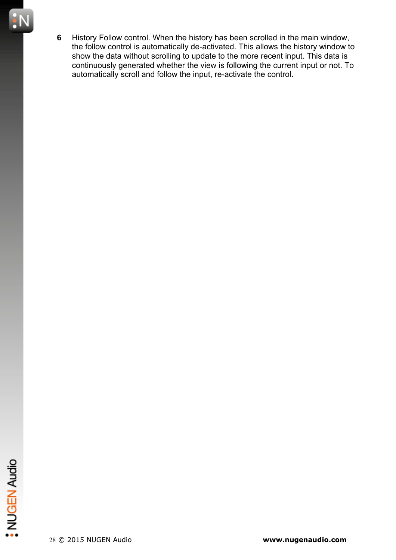**6** History Follow control. When the history has been scrolled in the main window, the follow control is automatically de-activated. This allows the history window to show the data without scrolling to update to the more recent input. This data is continuously generated whether the view is following the current input or not. To automatically scroll and follow the input, re-activate the control.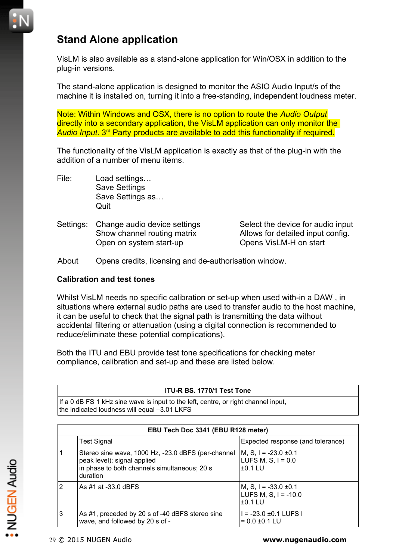# **Stand Alone application**

VisLM is also available as a stand-alone application for Win/OSX in addition to the plug-in versions.

The stand-alone application is designed to monitor the ASIO Audio Input/s of the machine it is installed on, turning it into a free-standing, independent loudness meter.

Note: Within Windows and OSX, there is no option to route the *Audio Output* directly into a secondary application, the VisLM application can only monitor the *Audio Input*. 3rd Party products are available to add this functionality if required.

The functionality of the VisLM application is exactly as that of the plug-in with the addition of a number of menu items.

- File: Load settings… Save Settings Save Settings as… **Quit**
- Settings: Change audio device settings Select the device for audio input Open on system start-up Opens VisLM-H on start

Show channel routing matrix Allows for detailed input config.

About Opens credits, licensing and de-authorisation window.

#### **Calibration and test tones**

Whilst VisLM needs no specific calibration or set-up when used with-in a DAW , in situations where external audio paths are used to transfer audio to the host machine, it can be useful to check that the signal path is transmitting the data without accidental filtering or attenuation (using a digital connection is recommended to reduce/eliminate these potential complications).

Both the ITU and EBU provide test tone specifications for checking meter compliance, calibration and set-up and these are listed below.

#### **ITU-R BS. 1770/1 Test Tone**

If a 0 dB FS 1 kHz sine wave is input to the left, centre, or right channel input, the indicated loudness will equal –3.01 LKFS

|   | EBU Tech Doc 3341 (EBU R128 meter)                                                                                                            |                                                                  |
|---|-----------------------------------------------------------------------------------------------------------------------------------------------|------------------------------------------------------------------|
|   | <b>Test Signal</b>                                                                                                                            | Expected response (and tolerance)                                |
|   | Stereo sine wave, 1000 Hz, -23.0 dBFS (per-channel<br>peak level); signal applied<br>in phase to both channels simultaneous; 20 s<br>duration | M, S, I = $-23.0 \pm 0.1$<br>LUFS M, S, $I = 0.0$<br>$±0.1$ LU   |
| 2 | As #1 at -33.0 dBFS                                                                                                                           | M, S, I = $-33.0 \pm 0.1$<br>LUFS M, S, $I = -10.0$<br>$±0.1$ LU |
| 3 | As #1, preceded by 20 s of -40 dBFS stereo sine<br>wave, and followed by 20 s of -                                                            | $1 = -23.0 \pm 0.1$ LUFS I<br>$= 0.0 \pm 0.1$ LU                 |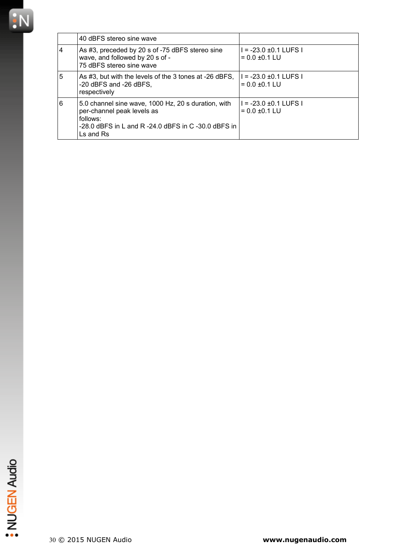

|   | 40 dBFS stereo sine wave                                                                                                                                                                      |                                                  |
|---|-----------------------------------------------------------------------------------------------------------------------------------------------------------------------------------------------|--------------------------------------------------|
| 4 | As #3, preceded by 20 s of -75 dBFS stereo sine<br>wave, and followed by 20 s of -<br>75 dBFS stereo sine wave                                                                                | $1 = -23.0 \pm 0.1$ LUFS I<br>$= 0.0 \pm 0.1$ LU |
| 5 | As #3, but with the levels of the 3 tones at -26 dBFS,<br>-20 dBFS and -26 dBFS,<br>respectively                                                                                              | $I = -23.0 \pm 0.1$ LUFS I<br>$= 0.0 \pm 0.1$ LU |
| 6 | 5.0 channel sine wave, 1000 Hz, 20 s duration, with<br>per-channel peak levels as<br>follows:<br>$-28.0$ dBFS in L and R $-24.0$ dBFS in C $-30.0$ dBFS in<br>$\mathsf{Ls}$ and $\mathsf{Rs}$ | $I = -23.0 \pm 0.1$ LUFS I<br>$= 0.0 \pm 0.1$ LU |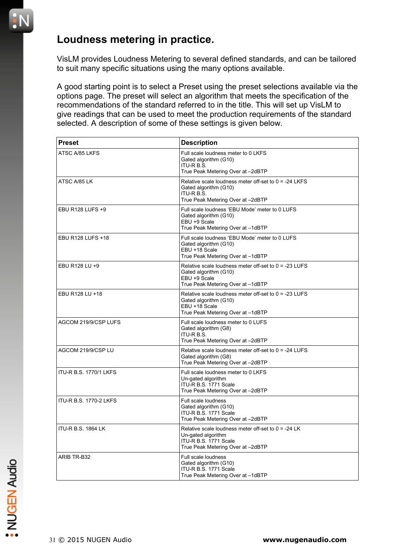## **Loudness metering in practice.**

VisLM provides Loudness Metering to several defined standards, and can be tailored to suit many specific situations using the many options available.

A good starting point is to select a Preset using the preset selections available via the options page. The preset will select an algorithm that meets the specification of the recommendations of the standard referred to in the title. This will set up VisLM to give readings that can be used to meet the production requirements of the standard selected. A description of some of these settings is given below.

| <b>Preset</b>                 | <b>Description</b>                                                                                                                        |
|-------------------------------|-------------------------------------------------------------------------------------------------------------------------------------------|
| ATSC A/85 LKFS                | Full scale loudness meter to 0 LKFS<br>Gated algorithm (G10)<br>ITU-R B.S.<br>True Peak Metering Over at -2dBTP                           |
| ATSC A/85 LK                  | Relative scale loudness meter off-set to $0 = -24$ LKFS<br>Gated algorithm (G10)<br>ITU-R B.S.<br>True Peak Metering Over at -2dBTP       |
| EBU R128 LUFS +9              | Full scale loudness 'EBU Mode' meter to 0 LUFS<br>Gated algorithm (G10)<br>EBU +9 Scale<br>True Peak Metering Over at -1dBTP              |
| EBU R128 LUFS +18             | Full scale loudness 'EBU Mode' meter to 0 LUFS<br>Gated algorithm (G10)<br>EBU +18 Scale<br>True Peak Metering Over at -1dBTP             |
| EBU R128 LU +9                | Relative scale loudness meter off-set to $0 = -23$ LUFS<br>Gated algorithm (G10)<br>EBU +9 Scale<br>True Peak Metering Over at -1dBTP     |
| EBU R128 LU +18               | Relative scale loudness meter off-set to $0 = -23$ LUFS<br>Gated algorithm (G10)<br>EBU +18 Scale<br>True Peak Metering Over at -1dBTP    |
| AGCOM 219/9/CSP LUFS          | Full scale loudness meter to 0 LUFS<br>Gated algorithm (G8)<br>ITU-R B.S.<br>True Peak Metering Over at -2dBTP                            |
| AGCOM 219/9/CSP LU            | Relative scale loudness meter off-set to $0 = -24$ LUFS<br>Gated algorithm (G8)<br>True Peak Metering Over at -2dBTP                      |
| <b>ITU-R B.S. 1770/1 LKFS</b> | Full scale loudness meter to 0 LKFS<br>Un-gated algorithm<br>ITU-R B.S. 1771 Scale<br>True Peak Metering Over at -2dBTP                   |
| ITU-R B.S. 1770-2 LKFS        | Full scale loudness<br>Gated algorithm (G10)<br>ITU-R B.S. 1771 Scale<br>True Peak Metering Over at -2dBTP                                |
| <b>ITU-R B.S. 1864 LK</b>     | Relative scale loudness meter off-set to $0 = -24$ LK<br>Un-gated algorithm<br>ITU-R B.S. 1771 Scale<br>True Peak Metering Over at -2dBTP |
| ARIB TR-B32                   | <b>Full scale loudness</b><br>Gated algorithm (G10)<br>ITU-R B.S. 1771 Scale<br>True Peak Metering Over at -1dBTP                         |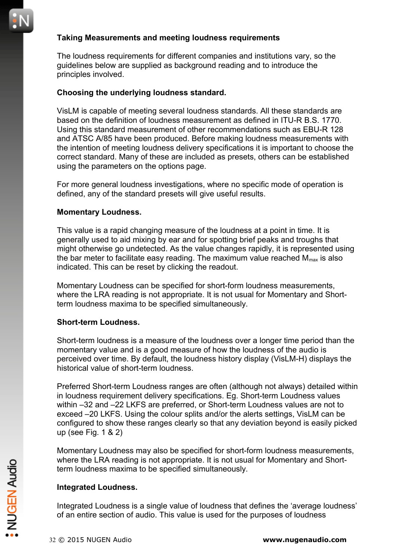#### **Taking Measurements and meeting loudness requirements**

The loudness requirements for different companies and institutions vary, so the guidelines below are supplied as background reading and to introduce the principles involved.

#### **Choosing the underlying loudness standard.**

VisLM is capable of meeting several loudness standards. All these standards are based on the definition of loudness measurement as defined in ITU-R B.S. 1770. Using this standard measurement of other recommendations such as EBU-R 128 and ATSC A/85 have been produced. Before making loudness measurements with the intention of meeting loudness delivery specifications it is important to choose the correct standard. Many of these are included as presets, others can be established using the parameters on the options page.

For more general loudness investigations, where no specific mode of operation is defined, any of the standard presets will give useful results.

#### **Momentary Loudness.**

This value is a rapid changing measure of the loudness at a point in time. It is generally used to aid mixing by ear and for spotting brief peaks and troughs that might otherwise go undetected. As the value changes rapidly, it is represented using the bar meter to facilitate easy reading. The maximum value reached  $M_{\text{max}}$  is also indicated. This can be reset by clicking the readout.

Momentary Loudness can be specified for short-form loudness measurements, where the LRA reading is not appropriate. It is not usual for Momentary and Shortterm loudness maxima to be specified simultaneously.

#### **Short-term Loudness.**

Short-term loudness is a measure of the loudness over a longer time period than the momentary value and is a good measure of how the loudness of the audio is perceived over time. By default, the loudness history display (VisLM-H) displays the historical value of short-term loudness.

Preferred Short-term Loudness ranges are often (although not always) detailed within in loudness requirement delivery specifications. Eg. Short-term Loudness values within –32 and –22 LKFS are preferred, or Short-term Loudness values are not to exceed –20 LKFS. Using the colour splits and/or the alerts settings, VisLM can be configured to show these ranges clearly so that any deviation beyond is easily picked up (see Fig. 1 & 2)

Momentary Loudness may also be specified for short-form loudness measurements, where the LRA reading is not appropriate. It is not usual for Momentary and Shortterm loudness maxima to be specified simultaneously.

#### **Integrated Loudness.**

Integrated Loudness is a single value of loudness that defines the 'average loudness' of an entire section of audio. This value is used for the purposes of loudness Where the LKA reading is not appropriate. It is not usual for Momentary and Short-<br>term loudness maxima to be specified simultaneously.<br>Integrated Loudness.<br>Integrated Loudness is a single value of loudness that defines th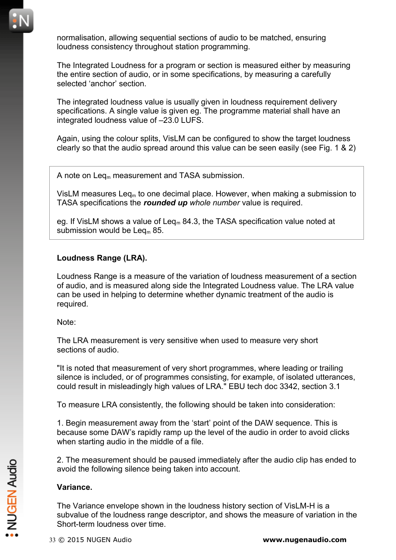normalisation, allowing sequential sections of audio to be matched, ensuring loudness consistency throughout station programming.

The Integrated Loudness for a program or section is measured either by measuring the entire section of audio, or in some specifications, by measuring a carefully selected 'anchor' section.

The integrated loudness value is usually given in loudness requirement delivery specifications. A single value is given eg. The programme material shall have an integrated loudness value of –23.0 LUFS.

Again, using the colour splits, VisLM can be configured to show the target loudness clearly so that the audio spread around this value can be seen easily (see Fig. 1 & 2)

A note on Leq<sub>m</sub> measurement and TASA submission.

VisLM measures Leq<sub>m</sub> to one decimal place. However, when making a submission to TASA specifications the *rounded up whole number* value is required.

eg. If VisLM shows a value of Leq<sub>m</sub> 84.3, the TASA specification value noted at submission would be  $\text{Leg}_{m}$  85.

#### **Loudness Range (LRA).**

Loudness Range is a measure of the variation of loudness measurement of a section of audio, and is measured along side the Integrated Loudness value. The LRA value can be used in helping to determine whether dynamic treatment of the audio is required.

Note:

The LRA measurement is very sensitive when used to measure very short sections of audio.

"It is noted that measurement of very short programmes, where leading or trailing silence is included, or of programmes consisting, for example, of isolated utterances, could result in misleadingly high values of LRA." EBU tech doc 3342, section 3.1

To measure LRA consistently, the following should be taken into consideration:

1. Begin measurement away from the 'start' point of the DAW sequence. This is because some DAW's rapidly ramp up the level of the audio in order to avoid clicks when starting audio in the middle of a file.

2. The measurement should be paused immediately after the audio clip has ended to avoid the following silence being taken into account.

#### **Variance.**

The Variance envelope shown in the loudness history section of VisLM-H is a subvalue of the loudness range descriptor, and shows the measure of variation in the Short-term loudness over time. 2. The measurement should be paused immediately after the audio clip has ended<br>avoid the following silence being taken into account.<br>Variance.<br>The Variance envelope shown in the loudness history section of VisLM-H is a<br>sub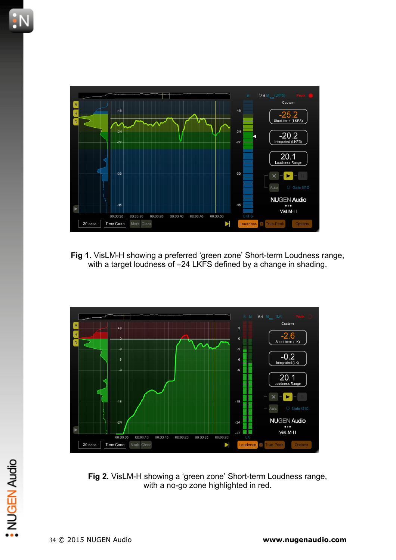

**Fig 1.** VisLM-H showing a preferred 'green zone' Short-term Loudness range, with a target loudness of –24 LKFS defined by a change in shading.



**Fig 2.** VisLM-H showing a 'green zone' Short-term Loudness range, with a no-go zone highlighted in red. <sup>3</sup><br>34 © 2015 NUGEN Audio<br>34 © 2015 NUGEN Audio<br>34 © 2015 NUGEN Audio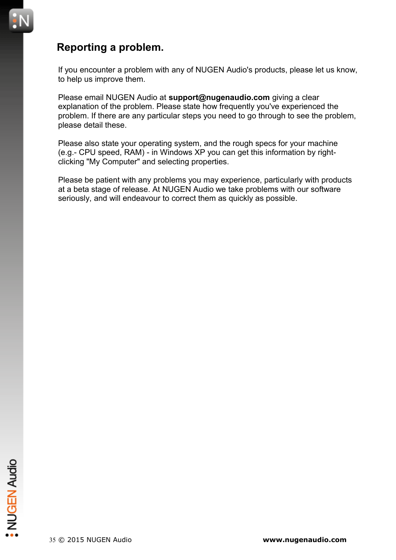# **Reporting a problem.**

If you encounter a problem with any of NUGEN Audio's products, please let us know, to help us improve them.

Please email NUGEN Audio at **support@nugenaudio.com** giving a clear explanation of the problem. Please state how frequently you've experienced the problem. If there are any particular steps you need to go through to see the problem, please detail these.

Please also state your operating system, and the rough specs for your machine (e.g.- CPU speed, RAM) - in Windows XP you can get this information by rightclicking "My Computer" and selecting properties.

Please be patient with any problems you may experience, particularly with products at a beta stage of release. At NUGEN Audio we take problems with our software seriously, and will endeavour to correct them as quickly as possible.